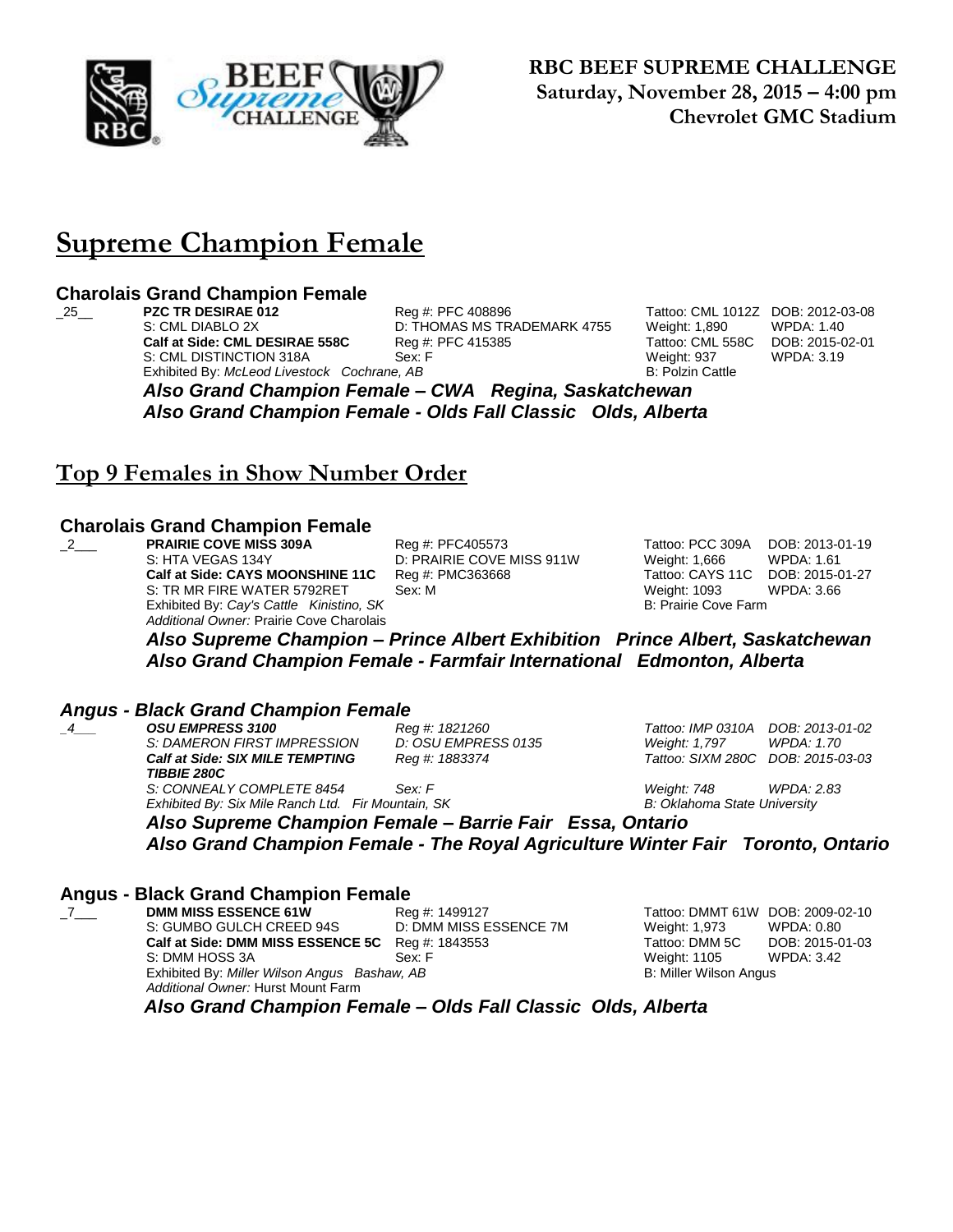

**RBC BEEF SUPREME CHALLENGE Saturday, November 28, 2015 – 4:00 pm Chevrolet GMC Stadium**

### **Supreme Champion Female**

## **Charolais Grand Champion Female**

S: CML DIABLO 2X **D: THOMAS MS TRADEMARK 4755** Weight: 1,890 WPDA: 1.40<br>**Calf at Side: CML DESIRAE 558C** Reg #: PFC 415385 Tattoo: CML 558C DOB: 2015-0 S: CML DISTINCTION 318A Sex: F Exhibited By: *McLeod Livestock Cochrane, AB* B: Polzin Cattle By: *Rolzin Cattle* 

\_25\_\_ **PZC TR DESIRAE 012** Reg #: PFC 408896 Tattoo: CML 1012Z DOB: 2012-03-08

**Tattoo: CML 558C DOB: 2015-02-01**<br>Weight: 937 WPDA: 3.19

*Also Grand Champion Female – CWA Regina, Saskatchewan Also Grand Champion Female - Olds Fall Classic Olds, Alberta*

### **Top 9 Females in Show Number Order**

#### **Charolais Grand Champion Female**

\_2\_\_\_ **PRAIRIE COVE MISS 309A** Reg #: PFC405573 Tattoo: PCC 309A DOB: 2013-01-19 S: HTA VEGAS 134Y D: PRAIRIE COVE MISS 911W Weight: 1,666 WPDA: 1.61 **Calf at Side: CAYS MOONSHINE 11C** Reg #: PMC363668 Tattoo: CAYS 11C DOB: 2015-01-27 S: TR MR FIRE WATER 5792RET Sex: M Weight: 1093 WPDA: 3.66 Exhibited By: Cay's Cattle Kinistino, SK B: Prairie Cove Farm *Additional Owner:* Prairie Cove Charolais

*Also Supreme Champion – Prince Albert Exhibition Prince Albert, Saskatchewan Also Grand Champion Female - Farmfair International Edmonton, Alberta*

## *Angus - Black Grand Champion Female*

*\_4\_\_\_ OSU EMPRESS 3100 Reg #: 1821260 Tattoo: IMP 0310A DOB: 2013-01-02 S: DAMERON FIRST IMPRESSION D: OSU EMPRESS 0135 Weight: 1,797 WPDA: 1.70 Calf at Side: SIX MILE TEMPTING TIBBIE 280C S: CONNEALY COMPLETE 8454 Sex: F Weight: 748 WPDA: 2.83 Exhibited By: Six Mile Ranch Ltd. Fir Mountain, SK B: Oklahoma State University*

*Reg #: 1883374 Tattoo: SIXM 280C DOB: 2015-03-03*

*Also Supreme Champion Female – Barrie Fair Essa, Ontario Also Grand Champion Female - The Royal Agriculture Winter Fair Toronto, Ontario*

#### **Angus - Black Grand Champion Female**

\_7\_\_\_ **DMM MISS ESSENCE 61W** Reg #: 1499127 Tattoo: DMMT 61W DOB: 2009-02-10 S: GUMBO GULCH CREED 94S D: DMM MISS ESSENCE 7M Weight: 1,973 WPDA: 0.80 **Calf at Side: DMM MISS ESSENCE 5C** Reg #: 1843553 Tattoo: DMM 5C DOB: 2015-01-03 S: DMM HOSS 3A Sex: F Weight: 1105 WPDA: 3.42 Exhibited By: *Miller Wilson Angus Bashaw, AB* B: Miller Wilson Angus B: Miller Wilson Angus *Additional Owner:* Hurst Mount Farm

 *Also Grand Champion Female – Olds Fall Classic Olds, Alberta*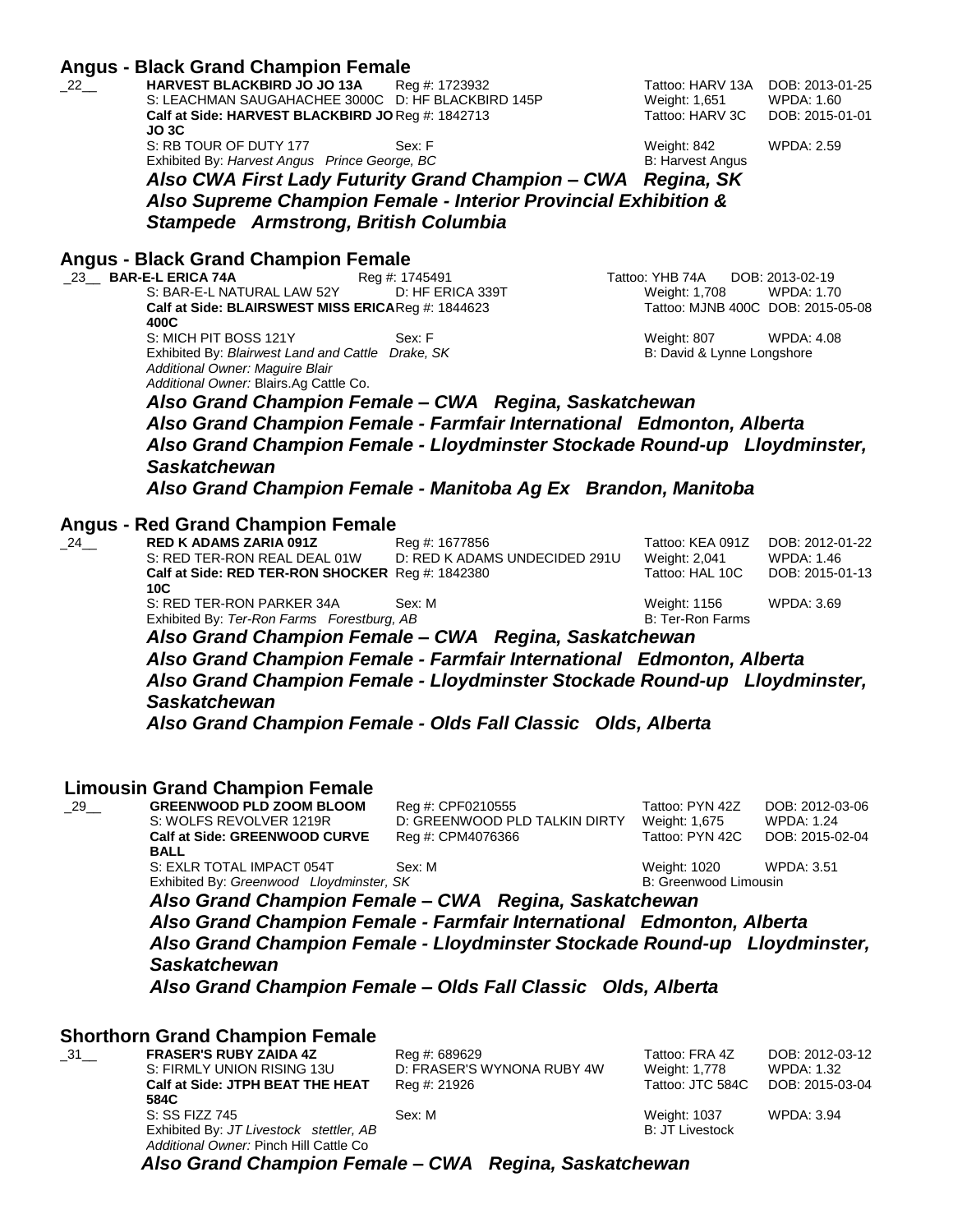#### **Angus - Black Grand Champion Female**

| 22 | <b>HARVEST BLACKBIRD JO JO 13A</b><br>Reg #: 1723932<br>S: LEACHMAN SAUGAHACHEE 3000C D: HF BLACKBIRD 145P | Tattoo: HARV 13A<br>Weight: 1,651 | DOB: 2013-01-25<br>WPDA: 1.60 |
|----|------------------------------------------------------------------------------------------------------------|-----------------------------------|-------------------------------|
|    | Calf at Side: HARVEST BLACKBIRD JO Req #: 1842713                                                          | Tattoo: HARV 3C                   | DOB: 2015-01-01               |
|    | JO 3C<br>S: RB TOUR OF DUTY 177<br>Sex: F                                                                  | Weight: 842                       | WPDA: 2.59                    |
|    | Exhibited By: Harvest Angus Prince George, BC                                                              | B: Harvest Angus                  |                               |

Weight: 842 WPDA: 2.59<br>B: Harvest Angus

*Also CWA First Lady Futurity Grand Champion – CWA Regina, SK Also Supreme Champion Female - Interior Provincial Exhibition & Stampede Armstrong, British Columbia*

## **Angus - Black Grand Champion Female**

E-L ERICA 74A **Reg #: 1745491** Tattoo: YHB 74A DOB: 2013-02-19<br>S: BAR-E-L NATURAL LAW 52Y D: HF ERICA 339T Weight: 1,708 WPDA: 1.70 **Calf at Side: BLAIRSWEST MISS ERICA Reg #: 1844623 400C** S: MICH PIT BOSS 121Y Sex: F Weight: 807 WPDA: 4.08 Exhibited By: *Blairwest Land and Cattle Drake, SK Additional Owner: Maguire Blair Additional Owner:* Blairs.Ag Cattle Co.

D: HF ERICA 339T Weight: 1,708 WPDA: 1.70 Tattoo: MJNB 400C DOB: 2015-05-08

B: David & Lynne Longshore

*Also Grand Champion Female – CWA Regina, Saskatchewan Also Grand Champion Female - Farmfair International Edmonton, Alberta Also Grand Champion Female - Lloydminster Stockade Round-up Lloydminster,* 

#### *Saskatchewan*

*Also Grand Champion Female - Manitoba Ag Ex Brandon, Manitoba*

#### **Angus - Red Grand Champion Female**

| 24 | <b>RED K ADAMS ZARIA 091Z</b>                    | Reg #: 1677856                | Tattoo: KEA 091Z | DOB: 2012-01-22 |
|----|--------------------------------------------------|-------------------------------|------------------|-----------------|
|    | S: RED TER-RON REAL DEAL 01W                     | D: RED K ADAMS UNDECIDED 291U | Weight: 2,041    | WPDA: 1.46      |
|    | Calf at Side: RED TER-RON SHOCKER Reg #: 1842380 |                               | Tattoo: HAL 10C  | DOB: 2015-01-13 |
|    | 10C                                              |                               |                  |                 |
|    | S: RED TER-RON PARKER 34A                        | Sex: M                        | Weight: 1156     | WPDA: 3.69      |
|    | Exhibited By: Ter-Ron Farms Forestburg, AB       |                               | B: Ter-Ron Farms |                 |

*Also Grand Champion Female – CWA Regina, Saskatchewan Also Grand Champion Female - Farmfair International Edmonton, Alberta Also Grand Champion Female - Lloydminster Stockade Round-up Lloydminster, Saskatchewan*

*Also Grand Champion Female - Olds Fall Classic Olds, Alberta*

#### **Limousin Grand Champion Female**

| $\_$ 29 $\_$ | <b>GREENWOOD PLD ZOOM BLOOM</b>                       | Reg #: CPF0210555                                                      | Tattoo: PYN 42Z       | DOB: 2012-03-06   |  |  |
|--------------|-------------------------------------------------------|------------------------------------------------------------------------|-----------------------|-------------------|--|--|
|              | S: WOLFS REVOLVER 1219R                               | D: GREENWOOD PLD TALKIN DIRTY                                          | Weight: 1,675         | <b>WPDA: 1.24</b> |  |  |
|              | Calf at Side: GREENWOOD CURVE                         | Reg #: CPM4076366                                                      | Tattoo: PYN 42C       | DOB: 2015-02-04   |  |  |
|              | <b>BALL</b>                                           |                                                                        |                       |                   |  |  |
|              | S: EXLR TOTAL IMPACT 054T                             | Sex: M                                                                 | Weight: 1020          | WPDA: 3.51        |  |  |
|              | Exhibited By: Greenwood Lloydminster, SK              |                                                                        | B: Greenwood Limousin |                   |  |  |
|              | Also Grand Champion Female - CWA Regina, Saskatchewan |                                                                        |                       |                   |  |  |
|              |                                                       | Also Grand Chamnion Female - Farmfair International - Edmonton Alberta |                       |                   |  |  |

*Also Grand Champion Female - Farmfair International Edmonton, Alberta Also Grand Champion Female - Lloydminster Stockade Round-up Lloydminster, Saskatchewan*

*Also Grand Champion Female – Olds Fall Classic Olds, Alberta*

#### **Shorthorn Grand Champion Female**

| 31 | <b>FRASER'S RUBY ZAIDA 4Z</b>                                                     | Reg #: 689629              | Tattoo: FRA 4Z   | DOB: 2012-03-12 |
|----|-----------------------------------------------------------------------------------|----------------------------|------------------|-----------------|
|    | S: FIRMLY UNION RISING 13U                                                        | D: FRASER'S WYNONA RUBY 4W | Weight: 1,778    | WPDA: 1.32      |
|    | Calf at Side: JTPH BEAT THE HEAT                                                  | Reg #: 21926               | Tattoo: JTC 584C | DOB: 2015-03-04 |
|    | 584C                                                                              |                            |                  |                 |
|    | S: SS FIZZ 745                                                                    | Sex: M                     | Weight: 1037     | WPDA: 3.94      |
|    | Exhibited By: JT Livestock stettler, AB<br>Additional Owner: Pinch Hill Cattle Co |                            | B: JT Livestock  |                 |

*Also Grand Champion Female – CWA Regina, Saskatchewan*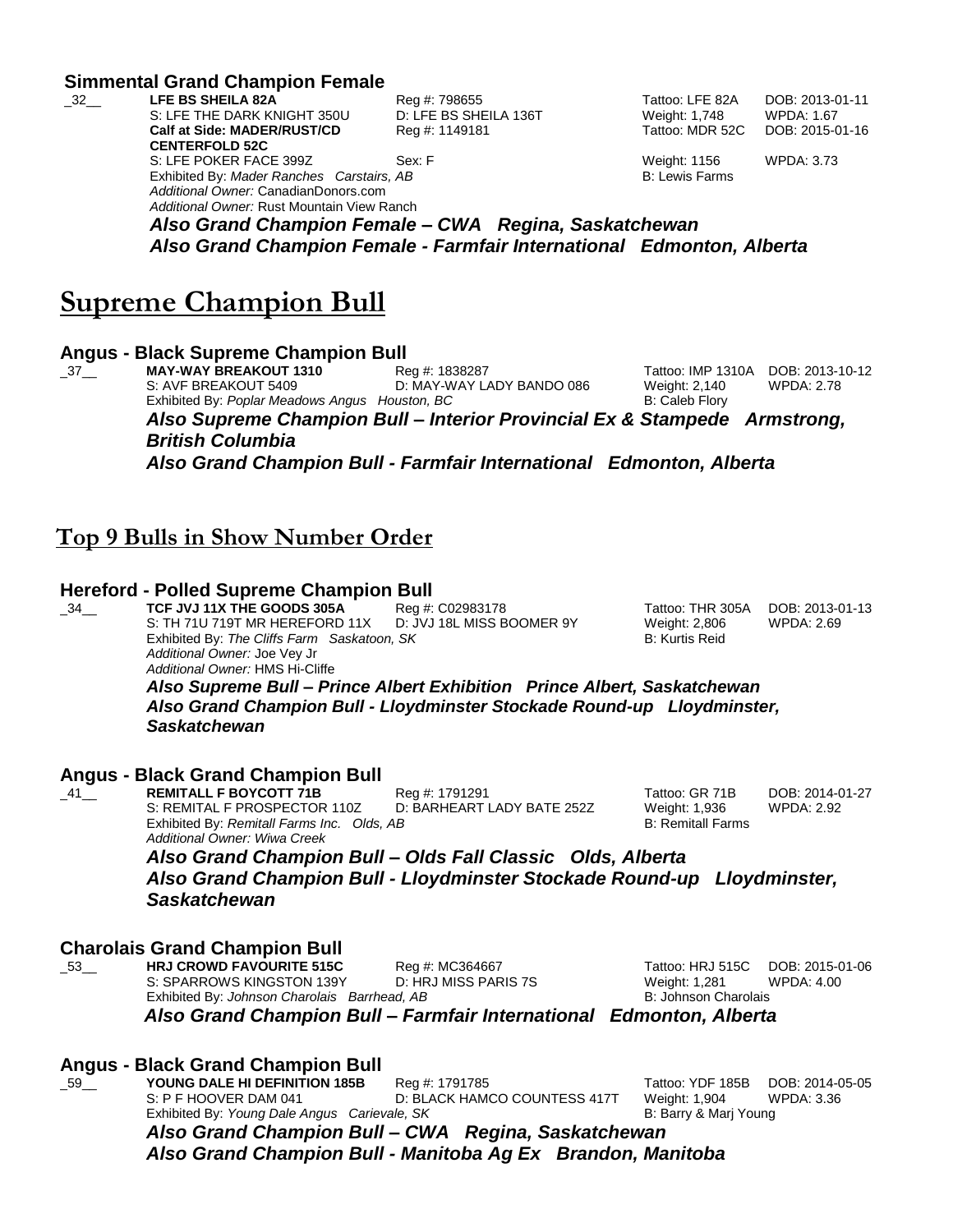|                    | <b>Simmental Grand Champion Female</b>                |                       |                       |                   |  |  |
|--------------------|-------------------------------------------------------|-----------------------|-----------------------|-------------------|--|--|
| $-32$ <sub>—</sub> | LFE BS SHEILA 82A                                     | Reg #: 798655         | Tattoo: LFE 82A       | DOB: 2013-01-11   |  |  |
|                    | S: LFE THE DARK KNIGHT 350U                           | D: LFE BS SHEILA 136T | Weight: 1,748         | <b>WPDA: 1.67</b> |  |  |
|                    | <b>Calf at Side: MADER/RUST/CD</b>                    | Reg #: 1149181        | Tattoo: MDR 52C       | DOB: 2015-01-16   |  |  |
|                    | <b>CENTERFOLD 52C</b>                                 |                       |                       |                   |  |  |
|                    | S: LFE POKER FACE 399Z                                | Sex: F                | Weight: 1156          | <b>WPDA: 3.73</b> |  |  |
|                    | Exhibited By: Mader Ranches Carstairs, AB             |                       | <b>B: Lewis Farms</b> |                   |  |  |
|                    | Additional Owner: CanadianDonors.com                  |                       |                       |                   |  |  |
|                    | Additional Owner: Rust Mountain View Ranch            |                       |                       |                   |  |  |
|                    | Also Grand Champion Female – CWA Regina, Saskatchewan |                       |                       |                   |  |  |

*Also Grand Champion Female – CWA Regina, Saskatchewan Also Grand Champion Female - Farmfair International Edmonton, Alberta*

### **Supreme Champion Bull**

### **Angus - Black Supreme Champion Bull**

\_37\_\_ **MAY-WAY BREAKOUT 1310** Reg #: 1838287 Tattoo: IMP 1310A DOB: 2013-10-12 S: AVF BREAKOUT 5409 D: MAY-WAY LADY BANDO 086 Weight: 2,140 WPDA: 2.78 Exhibited By: *Poplar Meadows Angus Houston, BC* B: Caleb Flory *Also Supreme Champion Bull – Interior Provincial Ex & Stampede Armstrong, British Columbia Also Grand Champion Bull - Farmfair International Edmonton, Alberta*

### **Top 9 Bulls in Show Number Order**

# **Hereford - Polled Supreme Champion Bull**<br>34 TCF JVJ 11X THE GOODS 305A Req #:

\_34\_\_\_ **TCF JVJ 11X THE GOODS 305A** Reg #: C02983178 Tattoo: THR 305A DOB: 2013-01-13<br>S: TH 71U 719T MR HEREFORD 11X D: JVJ 18L MISS BOOMER 9Y Weight: 2.806 WPDA: 2.69 S: TH 71U 719T MR HEREFORD 11X D: JVJ 18L MISS BOOMER 9Y Weight: 2,806 WPDA: 2.69 Exhibited By: The Cliffs Farm Saskatoon, SK B: Kurtis Reid *Additional Owner:* Joe Vey Jr *Additional Owner:* HMS Hi-Cliffe

*Also Supreme Bull – Prince Albert Exhibition Prince Albert, Saskatchewan Also Grand Champion Bull - Lloydminster Stockade Round-up Lloydminster, Saskatchewan*

#### **Angus - Black Grand Champion Bull**

\_41\_\_ **REMITALL F BOYCOTT 71B** Reg #: 1791291 Tattoo: GR 71B DOB: 2014-01-27 S: REMITAL F PROSPECTOR 110Z D: BARHEART LADY BATE 252Z Weight: 1,936 WPDA: 2.92 Exhibited By: *Remitall Farms Inc. Olds, AB Additional Owner: Wiwa Creek* 

B: Remitall Farms

*Also Grand Champion Bull – Olds Fall Classic Olds, Alberta Also Grand Champion Bull - Lloydminster Stockade Round-up Lloydminster, Saskatchewan*

# **Charolais Grand Champion Bull**

\_53\_\_ **HRJ CROWD FAVOURITE 515C** Reg #: MC364667 Tattoo: HRJ 515C DOB: 2015-01-06 S: SPARROWS KINGSTON 139Y D: HRJ MISS PARIS 7S Weight: 1,281 WPDA: 4.00 Exhibited By: *Johnson Charolais Barrhead, AB* B: Johnson Charolais Bis Johnson Charolais

 *Also Grand Champion Bull – Farmfair International Edmonton, Alberta*

### **Angus - Black Grand Champion Bull**

\_59\_\_ **YOUNG DALE HI DEFINITION 185B** Reg #: 1791785 Tattoo: YDF 185B DOB: 2014-05-05 S: P F HOOVER DAM 041 D: BLACK HAMCO COUNTESS 417T Weight: 1,904 WPDA: 3.36 Exhibited By: *Young Dale Angus Carievale, SK* B: Barry & Marj Young *Also Grand Champion Bull – CWA Regina, Saskatchewan*

*Also Grand Champion Bull - Manitoba Ag Ex Brandon, Manitoba*